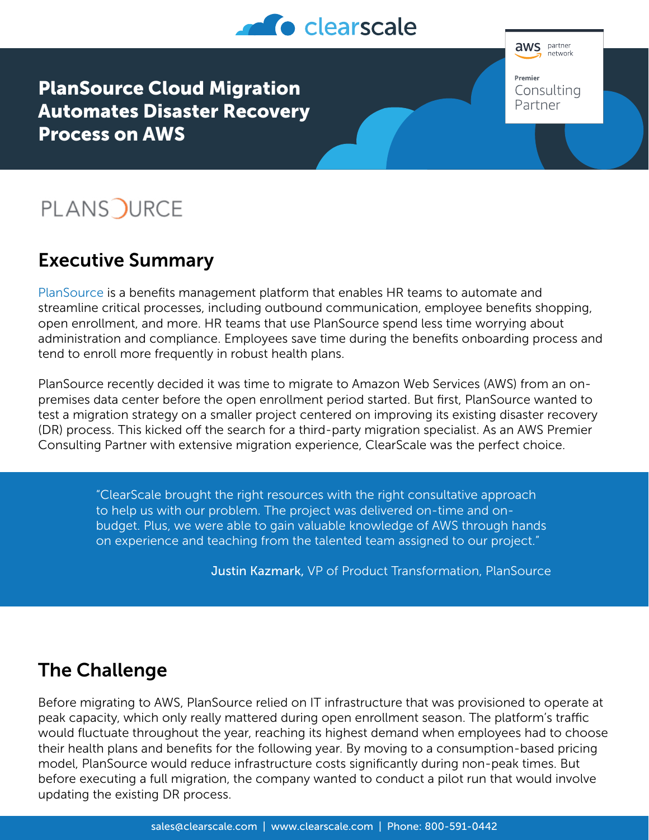

PlanSource Cloud Migration Automates Disaster Recovery Process on AWS

# **PLANS OURCE**

# Executive Summary

[PlanSource](https://plansource.com/) is a benefits management platform that enables HR teams to automate and streamline critical processes, including outbound communication, employee benefits shopping, open enrollment, and more. HR teams that use PlanSource spend less time worrying about administration and compliance. Employees save time during the benefits onboarding process and tend to enroll more frequently in robust health plans.

PlanSource recently decided it was time to migrate to Amazon Web Services (AWS) from an onpremises data center before the open enrollment period started. But first, PlanSource wanted to test a migration strategy on a smaller project centered on improving its existing disaster recovery (DR) process. This kicked off the search for a third-party migration specialist. As an AWS Premier Consulting Partner with extensive migration experience, ClearScale was the perfect choice.

> "ClearScale brought the right resources with the right consultative approach to help us with our problem. The project was delivered on-time and onbudget. Plus, we were able to gain valuable knowledge of AWS through hands on experience and teaching from the talented team assigned to our project."

> > Justin Kazmark, VP of Product Transformation, PlanSource

### The Challenge

Before migrating to AWS, PlanSource relied on IT infrastructure that was provisioned to operate at peak capacity, which only really mattered during open enrollment season. The platform's traffic would fluctuate throughout the year, reaching its highest demand when employees had to choose their health plans and benefits for the following year. By moving to a consumption-based pricing model, PlanSource would reduce infrastructure costs significantly during non-peak times. But before executing a full migration, the company wanted to conduct a pilot run that would involve updating the existing DR process.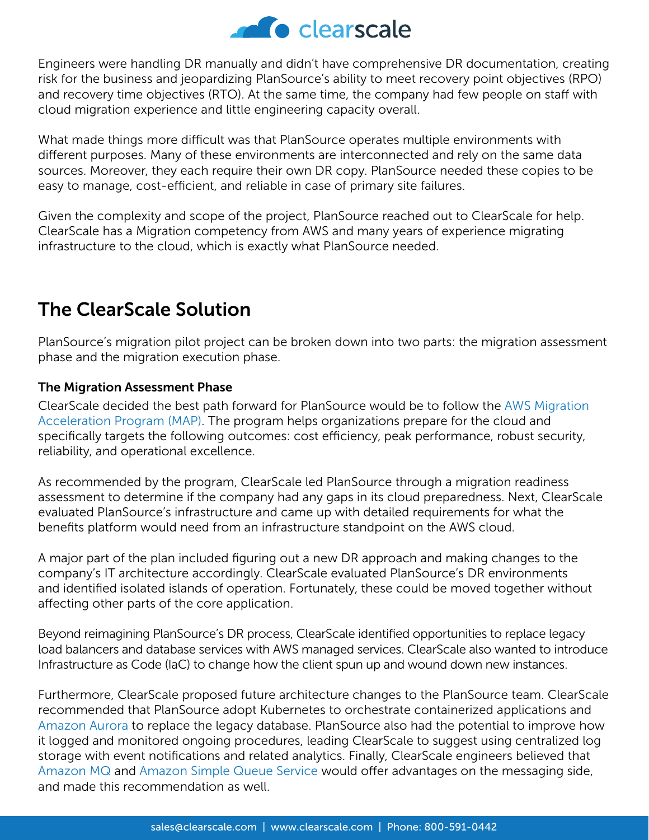

Engineers were handling DR manually and didn't have comprehensive DR documentation, creating risk for the business and jeopardizing PlanSource's ability to meet recovery point objectives (RPO) and recovery time objectives (RTO). At the same time, the company had few people on staff with cloud migration experience and little engineering capacity overall.

What made things more difficult was that PlanSource operates multiple environments with different purposes. Many of these environments are interconnected and rely on the same data sources. Moreover, they each require their own DR copy. PlanSource needed these copies to be easy to manage, cost-efficient, and reliable in case of primary site failures.

Given the complexity and scope of the project, PlanSource reached out to ClearScale for help. ClearScale has a Migration competency from AWS and many years of experience migrating infrastructure to the cloud, which is exactly what PlanSource needed.

# The ClearScale Solution

PlanSource's migration pilot project can be broken down into two parts: the migration assessment phase and the migration execution phase.

### The Migration Assessment Phase

ClearScale decided the best path forward for PlanSource would be to follow the [AWS Migration](https://aws.amazon.com/migration-acceleration-program/)  [Acceleration Program \(MAP\)](https://aws.amazon.com/migration-acceleration-program/). The program helps organizations prepare for the cloud and specifically targets the following outcomes: cost efficiency, peak performance, robust security, reliability, and operational excellence.

As recommended by the program, ClearScale led PlanSource through a migration readiness assessment to determine if the company had any gaps in its cloud preparedness. Next, ClearScale evaluated PlanSource's infrastructure and came up with detailed requirements for what the benefits platform would need from an infrastructure standpoint on the AWS cloud.

A major part of the plan included figuring out a new DR approach and making changes to the company's IT architecture accordingly. ClearScale evaluated PlanSource's DR environments and identified isolated islands of operation. Fortunately, these could be moved together without affecting other parts of the core application.

Beyond reimagining PlanSource's DR process, ClearScale identified opportunities to replace legacy load balancers and database services with AWS managed services. ClearScale also wanted to introduce Infrastructure as Code (IaC) to change how the client spun up and wound down new instances.

Furthermore, ClearScale proposed future architecture changes to the PlanSource team. ClearScale recommended that PlanSource adopt Kubernetes to orchestrate containerized applications and [Amazon Aurora](https://aws.amazon.com/rds/aurora/) to replace the legacy database. PlanSource also had the potential to improve how it logged and monitored ongoing procedures, leading ClearScale to suggest using centralized log storage with event notifications and related analytics. Finally, ClearScale engineers believed that [Amazon MQ](https://aws.amazon.com/amazon-mq/) and [Amazon Simple Queue Service](https://aws.amazon.com/sqs/) would offer advantages on the messaging side, and made this recommendation as well.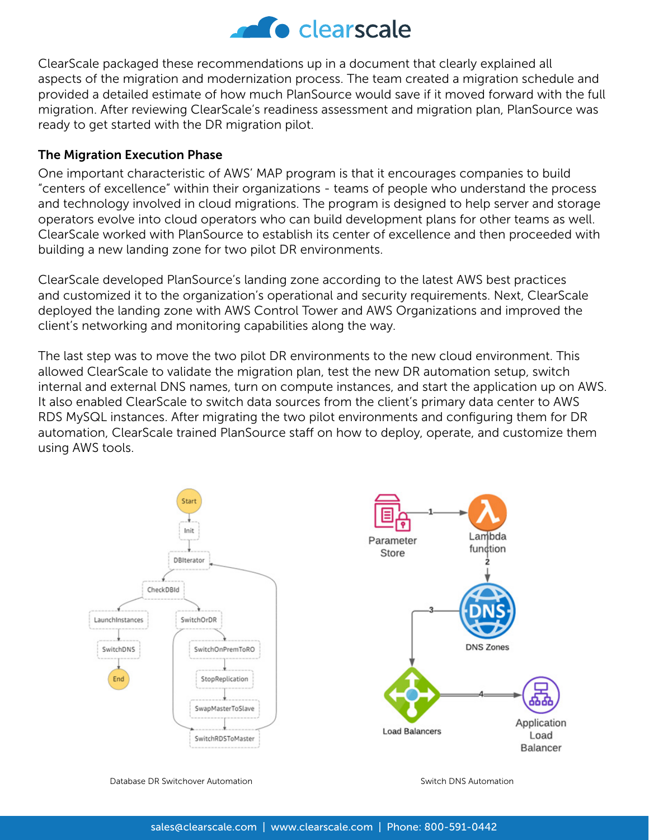

ClearScale packaged these recommendations up in a document that clearly explained all aspects of the migration and modernization process. The team created a migration schedule and provided a detailed estimate of how much PlanSource would save if it moved forward with the full migration. After reviewing ClearScale's readiness assessment and migration plan, PlanSource was ready to get started with the DR migration pilot.

#### The Migration Execution Phase

One important characteristic of AWS' MAP program is that it encourages companies to build "centers of excellence" within their organizations - teams of people who understand the process and technology involved in cloud migrations. The program is designed to help server and storage operators evolve into cloud operators who can build development plans for other teams as well. ClearScale worked with PlanSource to establish its center of excellence and then proceeded with building a new landing zone for two pilot DR environments.

ClearScale developed PlanSource's landing zone according to the latest AWS best practices and customized it to the organization's operational and security requirements. Next, ClearScale deployed the landing zone with AWS Control Tower and AWS Organizations and improved the client's networking and monitoring capabilities along the way.

The last step was to move the two pilot DR environments to the new cloud environment. This allowed ClearScale to validate the migration plan, test the new DR automation setup, switch internal and external DNS names, turn on compute instances, and start the application up on AWS. It also enabled ClearScale to switch data sources from the client's primary data center to AWS RDS MySQL instances. After migrating the two pilot environments and configuring them for DR automation, ClearScale trained PlanSource staff on how to deploy, operate, and customize them using AWS tools.



Database DR Switchover Automation Switch DNS Automation Switch DNS Automation